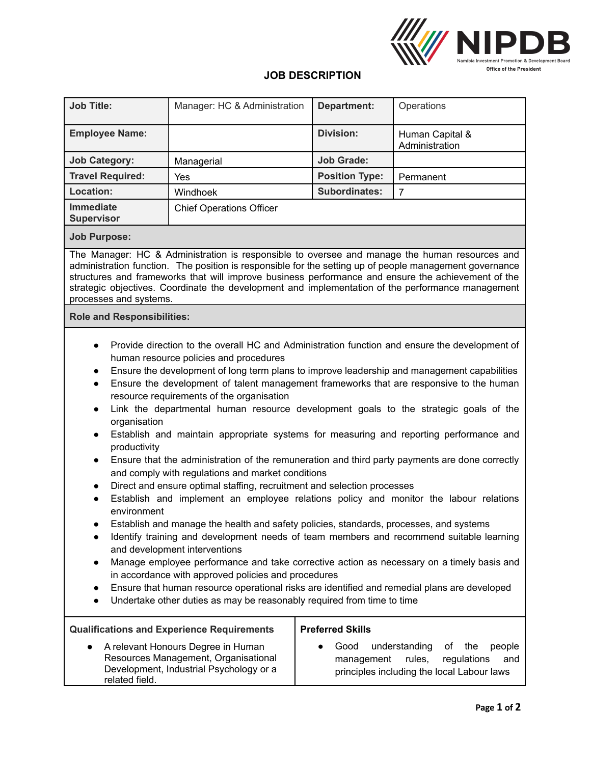

## **JOB DESCRIPTION**

| <b>Job Title:</b>                                                                                                                                                                                                                                                                                                                                                                                                                                                                                                                                                                                                                                                                                                                                                                                                                                                                                                                                                                                                                                                                                                                                                                                                                                                                                                                                                                                                                                                                                                                                                                                           | Manager: HC & Administration    | <b>Department:</b>                            | Operations                                                                                                         |
|-------------------------------------------------------------------------------------------------------------------------------------------------------------------------------------------------------------------------------------------------------------------------------------------------------------------------------------------------------------------------------------------------------------------------------------------------------------------------------------------------------------------------------------------------------------------------------------------------------------------------------------------------------------------------------------------------------------------------------------------------------------------------------------------------------------------------------------------------------------------------------------------------------------------------------------------------------------------------------------------------------------------------------------------------------------------------------------------------------------------------------------------------------------------------------------------------------------------------------------------------------------------------------------------------------------------------------------------------------------------------------------------------------------------------------------------------------------------------------------------------------------------------------------------------------------------------------------------------------------|---------------------------------|-----------------------------------------------|--------------------------------------------------------------------------------------------------------------------|
| <b>Employee Name:</b>                                                                                                                                                                                                                                                                                                                                                                                                                                                                                                                                                                                                                                                                                                                                                                                                                                                                                                                                                                                                                                                                                                                                                                                                                                                                                                                                                                                                                                                                                                                                                                                       |                                 | <b>Division:</b>                              | Human Capital &<br>Administration                                                                                  |
| <b>Job Category:</b>                                                                                                                                                                                                                                                                                                                                                                                                                                                                                                                                                                                                                                                                                                                                                                                                                                                                                                                                                                                                                                                                                                                                                                                                                                                                                                                                                                                                                                                                                                                                                                                        | Managerial                      | <b>Job Grade:</b>                             |                                                                                                                    |
| <b>Travel Required:</b>                                                                                                                                                                                                                                                                                                                                                                                                                                                                                                                                                                                                                                                                                                                                                                                                                                                                                                                                                                                                                                                                                                                                                                                                                                                                                                                                                                                                                                                                                                                                                                                     | Yes                             | <b>Position Type:</b>                         | Permanent                                                                                                          |
| Location:                                                                                                                                                                                                                                                                                                                                                                                                                                                                                                                                                                                                                                                                                                                                                                                                                                                                                                                                                                                                                                                                                                                                                                                                                                                                                                                                                                                                                                                                                                                                                                                                   | Windhoek                        | Subordinates:                                 | $\overline{7}$                                                                                                     |
| <b>Immediate</b><br><b>Supervisor</b>                                                                                                                                                                                                                                                                                                                                                                                                                                                                                                                                                                                                                                                                                                                                                                                                                                                                                                                                                                                                                                                                                                                                                                                                                                                                                                                                                                                                                                                                                                                                                                       | <b>Chief Operations Officer</b> |                                               |                                                                                                                    |
| <b>Job Purpose:</b>                                                                                                                                                                                                                                                                                                                                                                                                                                                                                                                                                                                                                                                                                                                                                                                                                                                                                                                                                                                                                                                                                                                                                                                                                                                                                                                                                                                                                                                                                                                                                                                         |                                 |                                               |                                                                                                                    |
| The Manager: HC & Administration is responsible to oversee and manage the human resources and<br>administration function. The position is responsible for the setting up of people management governance<br>structures and frameworks that will improve business performance and ensure the achievement of the<br>strategic objectives. Coordinate the development and implementation of the performance management<br>processes and systems.                                                                                                                                                                                                                                                                                                                                                                                                                                                                                                                                                                                                                                                                                                                                                                                                                                                                                                                                                                                                                                                                                                                                                               |                                 |                                               |                                                                                                                    |
| <b>Role and Responsibilities:</b>                                                                                                                                                                                                                                                                                                                                                                                                                                                                                                                                                                                                                                                                                                                                                                                                                                                                                                                                                                                                                                                                                                                                                                                                                                                                                                                                                                                                                                                                                                                                                                           |                                 |                                               |                                                                                                                    |
| Provide direction to the overall HC and Administration function and ensure the development of<br>human resource policies and procedures<br>Ensure the development of long term plans to improve leadership and management capabilities<br>$\bullet$<br>Ensure the development of talent management frameworks that are responsive to the human<br>$\bullet$<br>resource requirements of the organisation<br>Link the departmental human resource development goals to the strategic goals of the<br>$\bullet$<br>organisation<br>Establish and maintain appropriate systems for measuring and reporting performance and<br>$\bullet$<br>productivity<br>Ensure that the administration of the remuneration and third party payments are done correctly<br>$\bullet$<br>and comply with regulations and market conditions<br>Direct and ensure optimal staffing, recruitment and selection processes<br>٠<br>Establish and implement an employee relations policy and monitor the labour relations<br>$\bullet$<br>environment<br>Establish and manage the health and safety policies, standards, processes, and systems<br>Identify training and development needs of team members and recommend suitable learning<br>$\bullet$<br>and development interventions<br>Manage employee performance and take corrective action as necessary on a timely basis and<br>$\bullet$<br>in accordance with approved policies and procedures<br>Ensure that human resource operational risks are identified and remedial plans are developed<br>Undertake other duties as may be reasonably required from time to time |                                 |                                               |                                                                                                                    |
| <b>Qualifications and Experience Requirements</b><br>A relevant Honours Degree in Human<br>Resources Management, Organisational<br>Development, Industrial Psychology or a<br>related field.                                                                                                                                                                                                                                                                                                                                                                                                                                                                                                                                                                                                                                                                                                                                                                                                                                                                                                                                                                                                                                                                                                                                                                                                                                                                                                                                                                                                                |                                 | <b>Preferred Skills</b><br>Good<br>management | understanding<br>the<br>people<br>οf<br>regulations<br>rules,<br>and<br>principles including the local Labour laws |